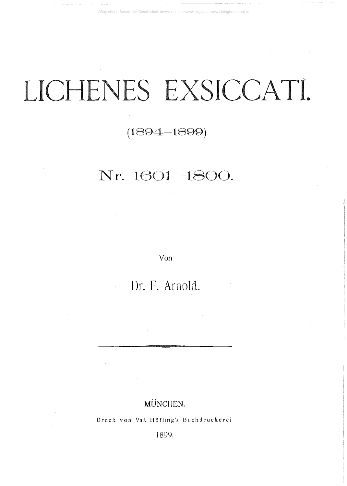# LICHENES EXSICCATI.

## **(**1804**-** 1809**)**

## Nr. 1601–1800.

Von

**Dr. F. Arnold.**

## MÜNCHEN.

Druck von Val. Höfling's Buchdruckerei

1899.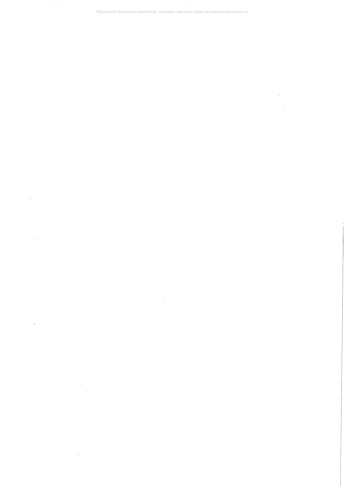$\label{eq:2.1} \frac{1}{\sqrt{2\pi}}\sum_{i=1}^n\frac{1}{\sqrt{2\pi}}\sum_{i=1}^n\frac{1}{\sqrt{2\pi}}\sum_{i=1}^n\frac{1}{\sqrt{2\pi}}\sum_{i=1}^n\frac{1}{\sqrt{2\pi}}\sum_{i=1}^n\frac{1}{\sqrt{2\pi}}\sum_{i=1}^n\frac{1}{\sqrt{2\pi}}\sum_{i=1}^n\frac{1}{\sqrt{2\pi}}\sum_{i=1}^n\frac{1}{\sqrt{2\pi}}\sum_{i=1}^n\frac{1}{\sqrt{2\pi}}\sum_{i=1}^n\$  $\label{eq:2.1} \frac{1}{\sqrt{2}}\int_{0}^{\infty}\frac{1}{\sqrt{2\pi}}\left(\frac{1}{\sqrt{2\pi}}\right)^{2}d\mu\left(\frac{1}{\sqrt{2\pi}}\right) \frac{d\mu}{\sqrt{2\pi}}\,.$  $\label{eq:2.1} \mathcal{L}(\mathcal{L}^{\text{max}}_{\mathcal{L}}(\mathcal{L}^{\text{max}}_{\mathcal{L}})) \leq \mathcal{L}(\mathcal{L}^{\text{max}}_{\mathcal{L}}(\mathcal{L}^{\text{max}}_{\mathcal{L}}))$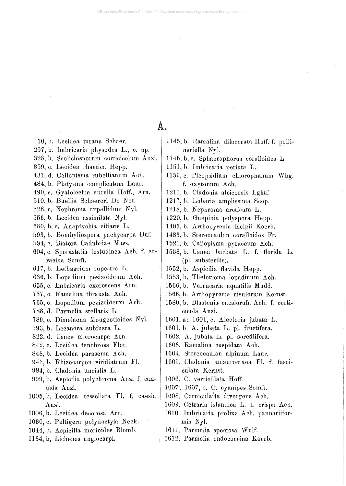- A.
- 10, b. Lecidea jurana Sohaer.
- 297, b. Imbricaría pliysodes L., c. ap.
- 328, b. Seoliciosporum corticicolum Anzi.
- 359, c. Lecidea rhaetica Hepp.
- 431, d. Callopisma rubellianum Acli.
- 484, b. Platysma complicatum Laur.
- 490, c. Gyalolechia aurella Hoff., Arn.
- 510, b. Buellia Scbaereri De Not.
- 528, c. Nephroma expallidum Nyl.
- 556, b, Lecidea assimilata Nyl.
- 580, b, c. Anaptycliia ciliaris L.
- 593, b. Bombyliospora packycarpa Duf.
- 594, o. Biatora Cadubriae Mass.
- 604, c. Sporastatia testudinea Ach. f. coracina Somft.
- 617, b. Lethagrium rupestre L.
- 636, b. Lopadium pezizoideum Ach.
- 655, c. Imbricaría excrescens Arn.
- 737, c. Ramalina thrausta Ach.
- 765, c. Lopadium pezizoideum Ach.
- 788, d. Parmelia stellaris L.
- 789, c. Dimelaena Mougeotioides Nyl.
- 793, b. Lecanora subfusca L.
- 822, d. Usnea microcarpa Arn.
- 842, c. Lecidea tenebrosa Flot.
- 848, b. Lecidea parasema Ach.
- 943, b. Rhizocarpon viridiatrum Fl.
- 984, b. Cladonia uneialis L.
- 999, b. Aspicilia polychroma Anzi f. candida Anzi.
- 1005, b. Lecidea tessellata Fl. f. caesia Anzi.
- 1006, b. Lecidea decorosa Arn.
- 1030, c. Peltigera polydactyla Neck.
- 1044, b. Aspicilia morioides Blomb.
- 1134, b, Lichenes angiocarpi.
- 1145, b. Ramalina dilacerata Hoff. f. pollinariella Nyl.
- 1146, b, c. Sphaerophorus coralloides L.
- 1151, b. Imbricaría perlata L.
- 1159, c. Pleopsidium chlorophanum Wbg. f. oxytonum Ach.
- 1211, b. Cladonia alcicornis Lghtf.
- 1217, b. Lobaria amplissima Scop.
- 1218, b. Nephroma arcticum L.
- 1220, b. Guepinia polyspora Hepp.
- 1405, b. Arthopyrenia Kelpii Koerb.
- 1483, b. Stereocaulon coralloides Fr.
- 1521, b. Callopisma pyraceum Ach,
- 1538, b. Usnea barbata L. f. florida L. (pl. substerilis).
- 1552, b. Aspicilia flavida Hepp.
- 1553, b. Thelotrema lepadinum Ach.
- 1566, b. Verrucaria aquatilis Mudd.
- 1566, b. Arthopyrenia rivulorum Kernst.
- 1580, b. Blastenia caesiorufa Ach. f. corticicola Anzi.
- 1601, a; 1601, c. Alectoria jubata L.
- 1601. b. A. jubata L. pl. fructífera.
- 1602. A. jubata L. pl. sorediifera.
- 1603. Ramalina cuspidata Ach.
- 1604. Stereocaulon alpinum Laur.
- 1605. Cladonia amaurocraea Fl. f. fasciculata Kernst.
- 1606. 0. verticillata Hoff.
- 1607; 1607, b. C. cyanipes Somft.
- 1608. Cornicularia divergens Ach.
- 1609. Cetraria islándica L. f. crispa Ach.
- 1610. Imbricaría prolixa Ach. pannariiformis Nyl.
- 1611. Parmelia speciosa Wulf.
- 1612. Parmelia endococcina Koerb.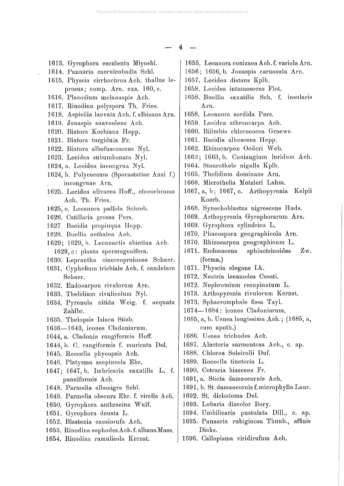| 1613. Gyrophora esculenta Miyoshi.                                               | 1655. Lecanora conizaea Ach. f. variola Arn.  |
|----------------------------------------------------------------------------------|-----------------------------------------------|
| 1614. Pannaria caeruleobadia Schl.                                               | 1656; 1656, b. Jonaspis carnosula Arn.        |
| 1615. Physcia cirrhochroa Ach. thallus le-                                       | 1657. Lecidea distans Kplh.                   |
| prosus; comp. Arn. exs. 160, c.                                                  | 1658. Lecidea intumescens Flot.               |
| 1616. Placodium melanaspis Ach.                                                  | 1658. Buellia saxatilis Sch. f. insularis     |
| 1617. Rinodina polyspora Th. Fries.                                              | Arn.                                          |
| 1618. Aspicilia laevata Ach. f. albicans Arn.                                    | 1658. Lecanora sordida Pers.                  |
| 1619. Jonaspis suaveolens Ach.                                                   | 1659. Lecidea athroocarpa Ach.                |
| 1620. Biatora Kochiana Hepp.                                                     | 1660. Bilimbia chlorococca Graewe.            |
| 1621. Biatora turgidula Fr.                                                      | 1661. Bacidia albescens Hepp.                 |
| 1622. Biatora albofuscoscens Nyl.                                                | 1662. Rhizocarpon Oederi Web.                 |
| 1623. Lecidea subumbonata Nyl.                                                   | 1663; 1663, b. Coniangium luridum Ach.        |
| 1624, a. Lecidea incongrua Nyl.                                                  | 1664. Staurothele nigella Kplh.               |
| 1624, b. Polycoccum (Sporastatiae Anzi f.)                                       | 1665. Thelidium dominans Arn.                 |
| incongruae Arn.                                                                  | 1666. Microthelia Metzleri Lahm.              |
| 1625. Lecidea olivacea Hoff., elaeochroma                                        | 1667, a, b; 1667, c. Arthopyrenia Kelpii      |
| Ach. Th. Fries.                                                                  | Koerb.                                        |
| 1625, c. Lecanora pallida Schreb.                                                | 1668. Synechoblastus nigrescens Huds.         |
| 1626. Catillaria grossa Pers.                                                    | 1669. Arthopyrenia Gyrophorarum Arn.          |
| 1627. Bacidia propinqua Hepp.                                                    | 1669. Gyrophora cylindrica L.                 |
| 1628. Buellia aethalea Ach.                                                      | 1670. Phaeospora geographicola Arn.           |
| 1629; 1629, b. Lecanactis abietina Ach.                                          | 1670. Rhizocarpon geographicum L.             |
| 1629, e: planta spermogonifera.                                                  | 1671. Endococcus<br>sphinctrinoides<br>Zw.    |
| 1630. Leprantha cinereopruinosa Schaer.                                          | (forma.)                                      |
| 1631. Cyphelium trichiale Ach. f. candelare                                      | 1671. Physcia elegans Lk.                     |
| Schaer.                                                                          | 1672. Nectria lecanodes Cesati.               |
| 1632. Endocarpon rivulorum Arn.                                                  | 1672. Nephromium resupinatum L.               |
| 1633. Thelidium rivulicolum Nyl.                                                 | 1673. Arthopyrenia rivulorum Kernst.          |
| 1634. Pyrenula nitida Weig. f. aequata                                           | 1673. Sphaeromphale fissa Tayl.               |
| Zahlbr.                                                                          | 1674-1684: icones Cladoniarum.                |
| 1635. Thelopsis Isiaca Stizb.                                                    | 1685, a, b. Usnea longissima Ach.; (1685, a,  |
| 1636-1643, icones Cladoniarum.                                                   | cum apoth.)                                   |
| 1644, a. Cladonia rangiformis Hoff.                                              | 1686. Usnea trichodes Ach.                    |
| 1644, b. C. rangiformis f. muricata Del.                                         | 1687. Alectoria sarmentosa Ach., c. ap.       |
| 1645. Roccella phycopsis Ach.                                                    | 1688. Chlorea Soleirolii Duf.                 |
| 1646. Platysma saepincola Ehr.                                                   | 1689. Roccella tinctoria L.                   |
| 1647; 1647, b. Imbricaria saxatilis L. f.                                        | 1690. Cetraria hiascens Fr.                   |
| panniformis Ach.                                                                 | 1691, a. Sticta damaecornis Ach.              |
| 1648. Parmelia albonigra Schl.                                                   | 1691, b. St. damaecornis f. microphylla Laur. |
| 1649. Parmelia obscura Ehr. f. virella Ach.                                      | 1692. St. dichotoma Del.                      |
| 1650. Gyrophora anthracina Wulf.                                                 | 1693. Lobaria discolor Bory.                  |
|                                                                                  |                                               |
| 1651. Gyrophora deusta L.                                                        | 1694. Umbilicaria pustulata Dill., c. ap.     |
| 1652. Blastenia caesiorufa Ach.                                                  | 1695. Pannaria rubiginosa Thunb., affinis     |
| 1653. Rinodina sophodes Ach.f. albana Mass.<br>1654. Rinodina ramulicola Kernst. | Dicks.<br>1696. Callopisma viridirufum Ach.   |

 $\mathcal{A}_{\mathcal{A}}$ 

 $\sim$ 

 $\overline{4}$ 

©Bayerische Botanische Gesellschaft; download unter www.bbgev.de;www.biologiezentrum.at

 $\frac{1}{2}$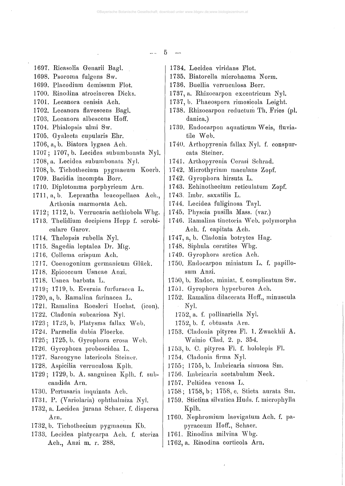- 1697. Ricasolia Genarii Bagl.
- 1698. Psoroma fulgens Sw.
- 1699. Plaoodium demissum Plot,
- 1700. Rinodina atrocinerea Dicks.
- 1701. Lecanora cenisia Ach.
- 1702. Lecanora flavescens Bagl.
- 1703. Lecanora albescens Hoff.
- 1704. Phialopsis ulmi Sw.
- 1705. Gyalecta cupularis Ehr.
- 1706. a, b. Biatora lygaea Ach.
- 1707; 1707, b. Lecidea subumbonata Nyl.
- 1708, a. Lecidea subumbonata Nyl.
- 1708, b. Tichothecium pygmaeum Koerb.
- 1709. Bacidia incompta Borr.
- 1710. Diplotomma porphyricum Arn.
- 1711, a, b. Leprantha leucopellaea Ach., Arthonia marmorata Ach.
- 1712; 1712, b. Verrucaria aethiobola Wbg.
- 1713. Thelidium decipiens Hepp f. scrobiculare Garoy.
- 1714. Thelopsis rubella Nyl.
- 1715. Sagedia leptalea Dr. Mtg.
- 1716. Collema crispum Ach.
- 1717. Coenogonium germanicum Glück.
- 1718. Epicoccum Usneae Anzi.
- 1718. Usnea barbata L.
- 1719; 1719, b. Evernia furfuracea L.
- 1720, a, b. Ramalina farinacea L.
- 1721, Ramalina Roesleri Höchst, (icon).
- 1722, Cladonia subcariosa Nyl.
- 1723; 1723, b. Platysma fallax Wob.
- 1724. Parmelia dubia Floerke.
- 1725; 1725, b. Gyrophora erosa Web.
- 1726. Gyrophora proboscidea L.
- 1727. Sarcogyne latericola Steiner.
- 1728. Aspicilia verruculosa Kplh.
- 1729; 1729, b. A. sanguinea Kplh. f. subcandida Arn.
- 1730. Pertusaria inquinata Ach.
- 1731. P. (Variolaria) ophthalmiza Nyl.
- 1732, a. Lecidea jurana Schaer. f. dispersa Arn.
- 1732, b. Tichothecium pygmaeum Kb.
- 1733. Lecidea platycarpa Ach. f. steriza Ach., Anzi m. r. 288.
- 1734. Lecidea yiridans Flot.
- 1735. Biatorella microhaema Norm.
- 1736. Buellia verruculosa Borr.
- 1737. a, Rhizocarpon excentricum Nyl,
- 1737. b. Phaeospora rimosicola Leight.
- 1738. Rhizocarpon reductum Th. Pries (pl. danica.)
- 1739. Endocarpon aquaticum Weis, fluviatile Web.
- 1740. Arthopyrenia fallax Nyl. f. conspurcata Steiner.
- 1741. Arthopyrenia Cerasi Sobrad.
- 1742. Microthyrium maculans Zopf.
- 1742. Gyrophora hirsuta L.
- 1743. Echinotheoium reticulatum Zopf.
- 1743. Imbr. saxatilis L.
- 1744. Lecidea fuliginosa Tayl.
- 1745. Physcia pusilla Mass, (var.)
- 1746. Ramalina tinctoria Web. polymorpha Ach. f. capitata Ach.
- 1747. a, b. Gladonia botrytes Hag.
- 1748. Siphula ceratites Wbg.
- 1749. Gyrophora árctica Ach.
- 1750. Endocarpon miniatum L. f. papillosum Anzi.
- 1750. b. Endoc. miniat. f. complicatum Sw.
- 1751. Gyrophora hyperborea Ach.
- 1752. Ramalina dilacerata Hoff., minúscula Nyl.
	- 1752, a. f. pollinariella Nyl.
	- 1752, b. f. obtusata Arn.
- 1753. Cladonia pityrea Pl. 1. Zwackhii A. Wainio Ciad. 2. p. 354.
- 1753, b. C. pityrea Fl. f. hololepis Pl.
- 1754. Cladonia firma Nyl.
- 1755; 1755, b. Imbricarla sinuosa Sm.
- 1756. Imbricaria acetabulum Neck.
- 1757. Peltidea venosa L.
- 1758; 1758, b; 1758, c. Sticta aurata Sm.
- 1759. Stictina silvática Huds. f. microphylla Kplh.
- 1760. Nephromium laevigatum Ach. f. papyraceum Hoff., Schaer.
- 1761. Rinodina milvina Wbg.
- 1762. a. Rinodina corticola Arn.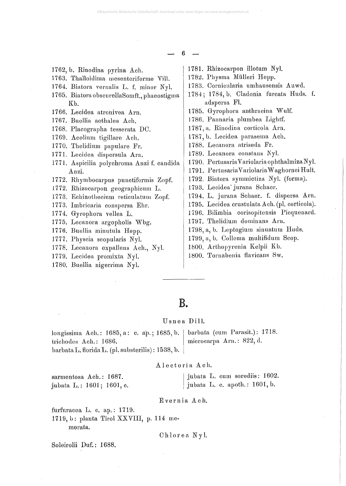1762. b. Rinodina pyrina Aoh. 1763. Thalloidima mesenteriforme Vill. 1764. Biatora vernalis L. f. minor Nyl. 1765. BiatoraobscurellaSomft.,phaeostigma Kb. 1766. Lecidea atronivea Arn. 1767. Buellia aetbalea Aoh. 1768. Placographa tesserata DC. 1769. Acolium tigillare Ách. 1770. Thelidium papulare Pr. 1771. Lecidea dispersula Arn. 1771. Aspicilia polychroma Anzi f. candida Anzi. 1772. Rhymbocarpus punotiformis Zopf. 1772, Rhizocarpon geographicum L. 1773. Echinothecium reticulatum Zopf. 1773. Imbricaría conspersa Ehr, 1774. Gryrophora yellea L. 1775. Lecanora argopholis Wbg. 1776. Buellia minutula Hepp. 1777. Physcia scopularis Nyl. 1778. Lecanora expallens Ach., Nyl. 1779. Lecidea promixta Nyl. 1780. Buellia nigerrima Nyl. 1781. Rhizocarpon illotum Nyl. 1782. Physma Miilleri Hepp. 1783. Cornicularia umhauaensis Auwd. 1784; 1784, b, Cladonia furcata Huds. f. adspersa PI. 1785. Gyrophora anthracina Wulf. 1786. Pannaria plumbea Lightf. 1787. a. Rinodina corticola Arn. 1787. b. Lecidea parasema Aoh. 1788. Lecanora atriseda Pr. 1789. Lecanora constans Nyl. 1790. PertusariaYariolariaophthalmizaNyl. 1791. Pertusaria Variolaria Waghornei Hult. 1792. Biatora synnnictiza Nyl. (forma). 1793. Lecidea' jurana Schaer. 1794. L. jurana Schaer. f. dispersa Arn. 1795. Lecidea crustulata Ach. (pi. corticola). 1796. Bilimbia corisopitensis Picquenard. 1797. Thelidium dominans Arn. 1798. a, b. Leptogium sinuatum Huds. 1799. a, b. Colloma multifidum Scop. 1800. Arthopyrenia Kelpii Kb. 1800. Toruabenia flavioaus Sw.

 $6\phantom{1}$ 

## **B**.

#### Usnea Dill.

longissima Ach.: 1685, a: c. ap.; 1685, b. | barbata (cum Parasit.): 1718. trichodes Ach.: 1686. microcarpa Arn.: 822, d. barbataL. floridaL. (pi. substerilis): 1538, b.

Alectoria Ach.

sarmentosa Ach.: 1687. jubata L.: 1601; 1601, c.

jubata L. cum sorediis: 1602. jubata L. c. apoth.: 1601, b.

Evernia Ach.

furfuracea L. c. ap.:  $1719$ . 1719, b: planta Tirol XXYIII, p. 114 memorata.

Chlorea Nyl.

Soleirolii Duf.: 1688.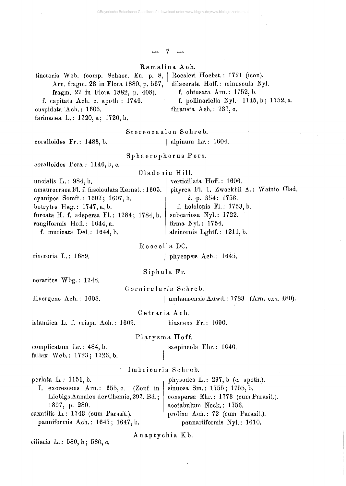| tinctoria Web. (comp. Schaer. En. p. 8,<br>Arn. fragm. 23 in Flora 1880, p. 567,<br>fragm. 27 in Flora 1882, p. 408).<br>f. capitata Ach. c. apoth.: 1746.<br>cuspidata Ach.: 1603.<br>farinacea L.: 1720, a; 1720, b.                               | Ramalina Ach.<br>Roesleri Hochst.: 1721 (icon).<br>dilacerata Hoff.: minuscula Nyl.<br>f. obtusata Arn.: 1752, b.<br>f. pollinariella Nyl.: 1145, b; 1752, a.<br>thrausta Ach.: 737, c.                 |
|------------------------------------------------------------------------------------------------------------------------------------------------------------------------------------------------------------------------------------------------------|---------------------------------------------------------------------------------------------------------------------------------------------------------------------------------------------------------|
|                                                                                                                                                                                                                                                      | Stereocaulon Schreb.                                                                                                                                                                                    |
| coralloides Fr.: 1483, b.                                                                                                                                                                                                                            | alpinum Lr.: $1604$ .                                                                                                                                                                                   |
| coralloides Pers.: 1146, b, c.                                                                                                                                                                                                                       | Sphaerophorus Pers.<br>Cladonia Hill.                                                                                                                                                                   |
| uncialis L.: 984, b.<br>amaurocraea Fl. f. fasciculata Kernst.: 1605.<br>cyanipes Somft.: 1607; 1607, b.<br>botrytes Hag.: $1747$ , a, b.<br>furcata H. f. adspersa Fl.: 1784; 1784, b.<br>rangiformis Hoff.: 1644, a.<br>f. muricata Del.: 1644, b. | verticillata Hoff.: 1606.<br>pityrea Fl. 1. Zwackhii A.: Wainio Clad.<br>2. p. $354:1753$ .<br>f. hololepis Fl.: 1753, b.<br>subcariosa Nyl.: 1722.<br>firma Nyl.: 1754.<br>alcicornis Lghtf.: 1211, b. |
| Roccella DC.                                                                                                                                                                                                                                         |                                                                                                                                                                                                         |
| tinctoria L.: 1689.                                                                                                                                                                                                                                  | phycopsis Ach.: 1645.                                                                                                                                                                                   |
| Siphula Fr.                                                                                                                                                                                                                                          |                                                                                                                                                                                                         |
| ceratites Wbg.: 1748.                                                                                                                                                                                                                                |                                                                                                                                                                                                         |
| Cornicularia Schreb.                                                                                                                                                                                                                                 |                                                                                                                                                                                                         |
| divergens Ach.: 1608.                                                                                                                                                                                                                                | umhausensis Auwd.: 1783 (Arn. exs. 480).                                                                                                                                                                |
| Cetraria Ach.                                                                                                                                                                                                                                        |                                                                                                                                                                                                         |
| islandica L. f. crispa Ach.: 1609.                                                                                                                                                                                                                   | hiascens Fr.: 1690.                                                                                                                                                                                     |
| Platysma Hoff.                                                                                                                                                                                                                                       |                                                                                                                                                                                                         |
| complicatum Lr.: 484, b.<br>fallax Web.: 1723; 1723, b.                                                                                                                                                                                              | saepincola Ehr.: 1646.                                                                                                                                                                                  |
| Imbricaria Schreb.                                                                                                                                                                                                                                   |                                                                                                                                                                                                         |
| perlata L.: 1151, b.<br>I. excrescens Arn.: 655, c.<br>$(Zopf \text{ in}$<br>Liebigs Annalen der Chemie, 297. Bd.;<br>1897, p. 280.<br>saxatilis L.: 1743 (cum Parasit.).<br>panniformis Ach.: 1647; 1647, b.                                        | physodes L.: 297, b (c. apoth.).<br>sinuosa Sm.: 1755; 1755, b.<br>conspersa Ehr.: 1773 (cum Parasit.).<br>acetabulum Neck.: 1756.<br>prolixa Ach.: 72 (cum Parasit.).<br>pannariiformis Nyl.: 1610.    |
| Anaptychia Kb.<br>ciliaris L.: 580, b; 580, c.                                                                                                                                                                                                       |                                                                                                                                                                                                         |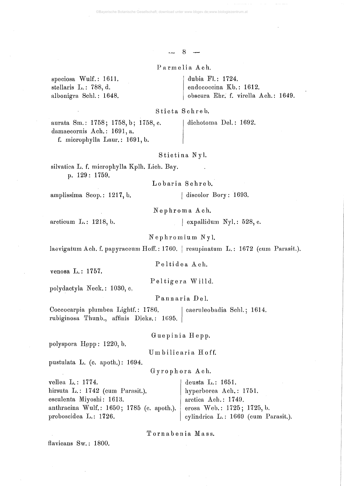8

©Bayerische Botanische Gesellschaft; download unter www.bbgev.de;www.biologiezentrum.at

Parmelia Ach.

speciosa Wulf.: 1611. stellaris L.: 788, d. albonigra Schl.: 1648. dubia PI.: 1724. endococcina Kb.: 1612. obscura Ehr. f. virella Ach.: 1649.

#### Sticta Schreb.

aurata Sm .: 1758; 1758, b; 1758, c. damaecornis Ach.: 1691, a. f. microphylla Laur.: 1691, b.

dichotoma Del.: 1692.

| expallidum Nyl.: 528, c.

#### Stictina Nyl.

silvática L. f. microphylla Kplh. Lich. Bay. p. 129: 1759.

L o b aria Schreb.

amplissima Scop.: 1217, b. | discolor Bory: 1693.

Ne p h r o ma Ach.

arcticum L.: 1218, b.

Ne ph r o mi u m Nyl.

Peltidea Ach.

laevigatum Ach. f. papyraceum Hoff.: 1760. | resupinatum L.: 1672 (cum Parasit.).

venosa L .: 1757.

polydactyla Neck.: 1030, c.

Pannaria Del.

Peltigera Willd.

Coccocarpia plúmbea Lightf.: 1786. rubiginosa Thunb., affinis Dicks.: 1695. caeruleobadia Schl.; 1614.

Guepinia Hepp.

polyspora Hepp: 1220, b.

Umbilicaria Hoff.

pustulata L. (c. apoth.): 1694.

G y r op hor a Ach.

| vellea L.: 1774.                          | deusta L.: 1651.                    |
|-------------------------------------------|-------------------------------------|
| hirsuta L.: 1742 (cum Parasit.).          | hyperborea Ach.: 1751.              |
| esculenta Miyoshi: 1613.                  | arctica Ach.: 1749.                 |
| anthracina Wulf.: 1650; 1785 (c. apoth.). | erosa Web.: 1725; 1725, b.          |
| proboscidea L.: 1726.                     | cylindrica L.: 1669 (cum Parasit.). |

Tornabenia Hass.

flavicans Sw.: 1800.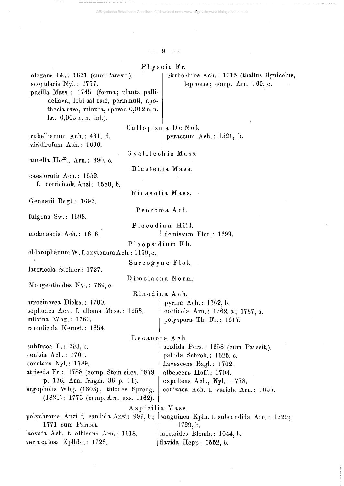| elegans Lk.: 1671 (cum Parasit.).<br>scopularis Nyl.: 1777.                                                                                                | Physcia Fr.<br>cirrhochroa Ach.: 1615 (thallus lignicolus,<br>leprosus; comp. Arn. 160, c. |
|------------------------------------------------------------------------------------------------------------------------------------------------------------|--------------------------------------------------------------------------------------------|
| pusilla Mass.: 1745 (forma; planta palli-<br>deflava, lobi sat rari, perminuti, apo-<br>thecia rara, minuta, sporae 0,012 n. n.<br>lg., 0,003 n. n. lat.). |                                                                                            |
|                                                                                                                                                            | Callopisma De Not.                                                                         |
| rubellianum Ach.: 431, d.<br>viridirufum Ach.: 1696.                                                                                                       | pyraceum Ach.: 1521, b.                                                                    |
| aurella Hoff., Arn.: 490, c.                                                                                                                               | Gyalolechia Mass.                                                                          |
|                                                                                                                                                            | Blastenia Mass.                                                                            |
| caesiorufa Ach.: 1652.<br>f. corticicola Anzi: 1580, b.                                                                                                    |                                                                                            |
|                                                                                                                                                            | Ricasolia Mass.                                                                            |
| Gennarii Bagl.: 1697.                                                                                                                                      |                                                                                            |
| fulgens Sw.: 1698.                                                                                                                                         | Psoroma Ach.                                                                               |
|                                                                                                                                                            | Placodium Hill.                                                                            |
| melanaspis Ach.: 1616.                                                                                                                                     | demissum Flot.: 1699.                                                                      |
|                                                                                                                                                            | Pleopsidium Kb.                                                                            |
| chlorophanum W.f. oxytonum Ach.: 1159, c.                                                                                                                  |                                                                                            |
| latericola Steiner: 1727.                                                                                                                                  | Sarcogyne Flot.                                                                            |
| Mougeotioides Nyl.: 789, c.                                                                                                                                | Dimelaena Norm.                                                                            |
|                                                                                                                                                            | Rinodina Ach.                                                                              |
| atrocinerea Dicks.: 1700.                                                                                                                                  | pyrina Ach.: 1762, b.                                                                      |
| sophodes Ach. f. albana Mass.: 1653.                                                                                                                       | corticola Arn.: 1762, a; 1787, a.                                                          |
| milvina Wbg.: 1761.                                                                                                                                        | polyspora Th. Fr.: 1617.                                                                   |
| ramulicola Kernst.: 1654.                                                                                                                                  |                                                                                            |
| Lecanora Ach.                                                                                                                                              |                                                                                            |
| subfusca L.: 793, b.                                                                                                                                       | sordida Pers.: 1658 (cum Parasit.).                                                        |
| cenisia Ach.: 1701.                                                                                                                                        | pallida Schreb.: 1625, c.                                                                  |
| constans Nyl.: 1789.                                                                                                                                       | flavescens Bagl.: 1702.                                                                    |
| atriseda Fr.: 1788 (comp. Stein siles. 1879)                                                                                                               | albescens Hoff.: 1703.                                                                     |
| p. 136, Arn. fragm. 36 p. 11).                                                                                                                             | expallens Ach., Nyl.: 1778.                                                                |
| argopholis Wbg. (1803), thiodes Spreng.                                                                                                                    | conizaea Ach. f. variola Arn.: 1655.                                                       |
| (1821): 1775 (comp. Arn. exs. 1162).                                                                                                                       |                                                                                            |
| Aspicilia Mass.                                                                                                                                            |                                                                                            |
| polychroma Anzi f. candida Anzi: 999, b;<br>1771 cum Parasit.                                                                                              | sanguinea Kplh. f. subcandida Arn.: 1729;<br>1729, b.                                      |
| laevata Ach. f. albicans Arn.: 1618.                                                                                                                       | morioides Blomb.: 1044, b.                                                                 |
| verruculosa Kplhbr.: 1728.                                                                                                                                 | flavida Hepp: 1552, b.                                                                     |

 $\sim$   $\sim$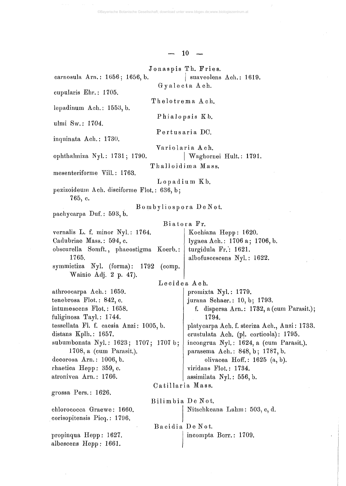$10 -$ 

©Bayerische Botanische Gesellschaft; download unter www.bbgev.de;www.biologiezentrum.at

Jonaspis Th. Fries. carnosula Arn.: 1656; 1656, b. | suaveolens Ach.: 1619. Gyalecta Ach. cupularis Ehr.: 1705. Thelotrema Ach. lepadinum Ach.: 1556, b. Phialopsis Kb. ulmi Sw.: 1704. Pertusaria DC. inquinata Ach.: 1730. Variolaria Ach. ophthalmiza Nyl.: 1731; 1790. | Waghornei Hult.: 1791. Thalloidima Mass. mesenteriforme Yill.: 1763. Lopadium Kb. pezizoideum Ach. disciforme Flot.: 636, b; 765, c. Bombyliospora DeNot. pachycarpa Duf.: 593, b. Biato ra Fr. vernalis L. f. minor Nyl.: 1764. Cadubriae Masa.: 594, c. obscurella Somft., phaeostigma Koerb.: 1765. symmictiza Nyl. (forma): 1792 (comp. Wainio Adj. 2 p. 47). Lecide a Ach. athroocarpa Ach.: 1659. tenebrosa Flot.: 842, c. intumescens Flot.: 1658. fuliginosa Tayl.: 1744. tessellata Fl. f. caesia Anzi: 1005, b. distans Kplh.: 1657. subumbonata Nyl.: 1623; 1707; 1707 b; 1708, a (cum Parasit.). decorosa Arn.: 1006, b. rhaetica Hepp: 359, c. atronivea Arn.: 1766. Catillar i a Mass. Kochiana Hepp: 1620. lygaea Ach.: 1706 a; 1706, b. turgidula Fr.': 1621. albofuscescens Nyl.: 1622. promixta Nyl.: 1779. jurana Schaer.: 10, b; 1793. f. dispersa Arn.: 1732, a (cum Parasit.); 1794. platycarpa Ach. f. steriza Ach., Anzi: 1733. crustulata Ach. (pl. corticola): 1795. incongrua Nyl.: 1624, a (cum Parasit.). parasema Ach.: 848, b; 1787, b. olivácea Hoff.: 1625 (a, b). viridans Flot.: 1734, assimilata Nyl.: 556, b. grossa Pers.: 1626. chlorococca Graewe: 1660. corisopitensis Picq.: 1796. propinqua Hepp: 1627. albescens Hepp: 1661. Bilimbia DeNot. Nitschkeana Lahm : 503, c, d. Bacidia DeNot. incompta Borr.: 1709.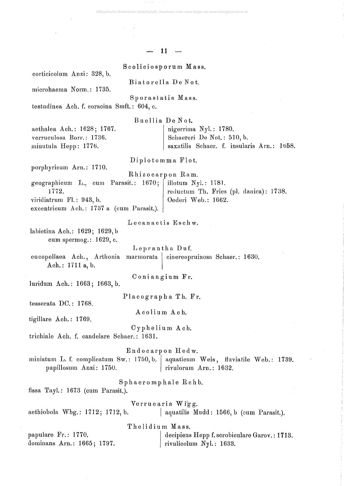|                                                                                                                                                  |                     | 11                                                                                                                   |
|--------------------------------------------------------------------------------------------------------------------------------------------------|---------------------|----------------------------------------------------------------------------------------------------------------------|
|                                                                                                                                                  |                     | Scoliciosporum Mass.                                                                                                 |
| corticicolum Anzi: 328, b.<br>microhaema Norm.: 1735.                                                                                            |                     | Biatorella De Not.                                                                                                   |
| testudinea Ach. f. coracina Smft.: 604, c.                                                                                                       |                     | Sporastatia Mass.                                                                                                    |
|                                                                                                                                                  |                     |                                                                                                                      |
| aethalea Ach.: 1628; 1767.<br>verruculosa Borr.: 1736.<br>minutula Hepp: 1776.                                                                   |                     | Buellia De Not.<br>nigerrima Nyl.: 1780.<br>Schaereri De Not.: 510, b.<br>saxatilis Schaer. f. insularis Arn.: 1658. |
|                                                                                                                                                  |                     | Diplotomma Flot.                                                                                                     |
| porphyricum Arn.: 1710.<br>geographicum L., cum Parasit.: 1670;<br>1772.<br>viridiatrum Fl.: 943, b.<br>excentricum Ach.: 1737 a (cum Parasit.). |                     | Rhizocarpon Ram.<br>illotum Nyl.: 1781.<br>reductum Th. Fries (pl. danica): 1738.<br>Oederi Web.: 1662.              |
| labietina Ach.: 1629; 1629, b<br>cum spermog.: 1629, c.<br>eucopellaea Ach., Arthonia marmorata                                                  |                     | Lecanactis Eschw.<br>Leprantha Duf.<br>cinereopruinosa Schaer.: 1630.                                                |
| Ach.: 1711 a, b.<br>luridum Ach.: 1663; 1663, b.                                                                                                 |                     | Coniangium Fr.                                                                                                       |
|                                                                                                                                                  |                     |                                                                                                                      |
| tesserata DC.: 1768.                                                                                                                             | Placographa Th. Fr. |                                                                                                                      |
| tigillare Ach.: 1769.                                                                                                                            | Acolium Ach.        |                                                                                                                      |
| trichiale Ach. f. candelare Schaer.: 1631.                                                                                                       | Cyphelium Ach.      |                                                                                                                      |
| miniatum L. f. complicatum Sw.: 1750, b.<br>papillosum Anzi: 1750.                                                                               |                     | Endocarpon Hedw.<br>aquaticum Weis, fluviatile Web.: 1739.<br>rivulorum Arn.: 1632.                                  |
| fissa Tayl.: 1673 (cum Parasit.).                                                                                                                | Sphaeromphale Rchb. |                                                                                                                      |
| aethiobola Wbg.: 1712; 1712, b.                                                                                                                  |                     | Verrucaria Wigg.<br>aquatilis Mudd: 1566, b (cum Parasit.).                                                          |
|                                                                                                                                                  | Thelidium Mass.     |                                                                                                                      |
| papulare Fr.: 1770.<br>dominans Arn.: 1665; 1797.                                                                                                |                     | decipiens Hepp f. scrobiculare Garov.: 1713.<br>rivulicolum Nyl.: 1633.                                              |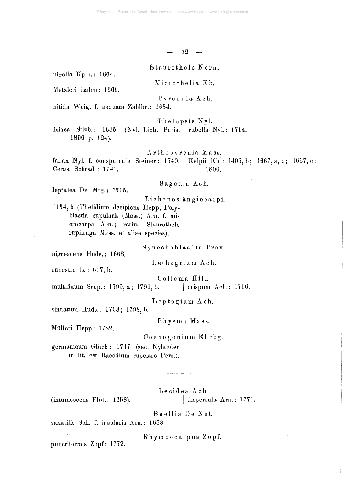$12 -$ 

Staurothele Norm.

Micro the lia Kb.

Metzleri Lahm: 1666.

nigella Kplh.: 1664.

P y renula Ach.

nitida Weig. f. aequata Zahlbr.: 1634.

Thelopsis Nyl. Isiaca Stizb.: 1635, (Nyl. Lieh. Paris. 1896 p. 124). rubella Nyl.: 1714.

Ar thopyrenia Mass.

fallax Nyl. f. conspurcata Steiner: 1740. | Kelpii Kb.: 1405, b; 1667, a, b; 1667, c: Cerasi Schrad.: 1741. 1800.

Sagedia Ach.

leptalea Dr. M $tg$ : 1715.

Lichenes ängiocarpi.

1134, b (Thelidium decipiens Hepp, Polyblastia cupularis (Mass.) Arn. f. microcarpa Arn.; rarius Staurothele rupifraga Mass, et aliae species).

Synechoblastus Trev.

nigrescens Huds.: 1668.

Lethagrium Ach.

rupestre L.:  $617$ , b.

Collema Hill.

multifidum Scop.: 1799, a; 1799, b.  $\vert$  crispum Ach.: 1716.

Leptogium Ach.

sinuatum Huds.: 1798; 1798, b.

Physma Mass.

Mülleri Hepp: 1782.

Coenogonium Ehrbg.

germanicum Glück: 1717 (sec. Nylander in lit. est Racodium rupestre Pers.).

Le cidea Ach. (intumescens Flot.: 1658). | dispersula Arn.: 1771.

Buellia De Not.

saxatilis Sch. f. insularis Arn.: 1658.

ßhymbocarpuB Zopf. punctiformis Zopf: 1772.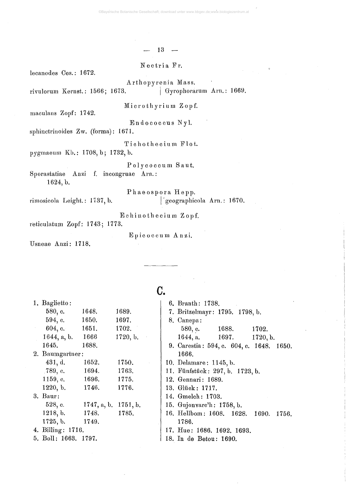lecanodes Ces.: 1672. rivulorum Kernst.: 1566; 1673. maculans Zopf: 1742. Nectria Fr. Arthopyrenia Mass. 1673. Gyrophorarum Arn.: 1669. Microthyrium Zopf. Endooocous Ny 1. sphinctrinoides Zw. (forma): 1671. Tichothecium Flot. pygmaeum Kb.: 1708, b; 1732, b. Polycoceum Saut. Sporastatiae Anzi f. incongruae Arn.: 1624, b. Phaeospora Hepp. rimosicola Leight.: 1737, b. | 'geographicola Arn.: 1670. Echinothecium Zopf. reticulatum Zopf: 1743; 1773. Usneae Anzi: 1718. Epicoccum Anzi.

1. Baglietto:  $594, c.$  1650. 1697. 1644, a, b. 1666 1720, b. 2. Baumgartner: 431, d. 1652. 1750. 10. Delamare: 1145, b. .789, c. 1694. 1763. 11. Fünfstück: 297, b. 1723, b. 1159, c. 1696. 1775. 12 1220, b. 1746. 1776. 13  $3. \;$  Baur:  $\begin{array}{|c|c|c|c|c|c|c|c|c|} \hline 14. & 1700 & 1700 & 1700 & 1700 & 1700 & 1700 & 1700 & 1700 & 1700 & 1700 & 1700 & 1700 & 1700 & 1700 & 1700 & 1700 & 1700 & 1700 & 1700 & 1700 & 1700 & 1700 & 1700 & 1700 & 1700 & 1700 & 1700 & 1700 & 1700 &$ 528, c. 1747, a, b. 1751, b. 15 1725, b. 1749. 4. Billing: 1716. 17. 5. Boll: 1663. 1797. 18. In de Betou: 1690.

## $\mathbf C$ .

| Baglietto :     |                         |          | 6. Branth: 1738.                         |
|-----------------|-------------------------|----------|------------------------------------------|
| 580, c.         | 1648.                   | 1689.    | 7. Britzelmayr: 1795. 1798, b.           |
| $594, c.$ 1650. |                         | 1697.    | 8. Canepa:                               |
| 604, c.         | 1651.                   | 1702.    | 580, c.<br>1688.<br>1702.                |
| 1644, a, b.     | $1666\,$                | 1720, b. | 1644, a. 1697.<br>1720, b.               |
| 1645.           | 1688.                   |          | 9. Carestia: 594, c. 604, c. 1648. 1650. |
| Baumgartner :   |                         |          | 1666.                                    |
| 431, d.         | 1652.                   | 1750.    | 10. Delamare: 1145, b.                   |
| .789, c.        | 1694.                   | 1763.    | 11. Fünfstück: 297, b. 1723, b.          |
| 1159, c.        | 1696.                   | 1775.    | 12. Gennari: 1689.                       |
| 1220, b.        | 1746.                   | 1776.    | 13. Glück: 1717.                         |
| Baur :          |                         |          | 14. Gmelch: 1703.                        |
| 528, c.         | $1747$ , a, b. 1751, b. |          | 15. Gujonvarc'h: 1758, b.                |
| 1218, b.        | 1748.                   | 1785.    | 16. Hellbom: 1608. 1628. 1690.<br>1756.  |
| 1725, b.        | 1749.                   |          | 1786.                                    |
| Billing: 1716.  |                         |          | 17. Hue: 1686, 1692, 1693.               |
| D.JI. 1000 1505 |                         |          | 10 T.J. <b>D</b> .J.<br><b>1000</b>      |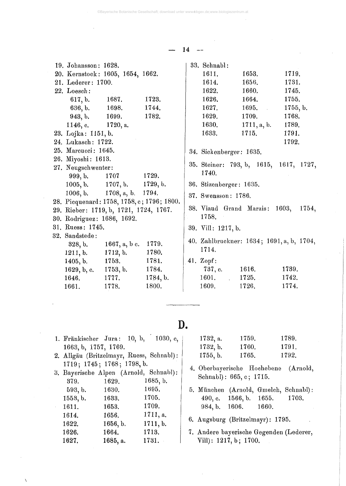| 19. Johansson: 1628.       |                                            |          |                                        | 33. Schnabl:                              |  |       |  |                     |       |
|----------------------------|--------------------------------------------|----------|----------------------------------------|-------------------------------------------|--|-------|--|---------------------|-------|
|                            | 20. Kernstock: 1605, 1654, 1662.           |          |                                        | 1611.                                     |  | 1653. |  | 1719.               |       |
| 21. Lederer: 1700.         |                                            |          |                                        | 1614.                                     |  | 1656. |  | 1731.               |       |
| 22. Loesch:                |                                            |          |                                        | 1622.                                     |  | 1660. |  | 1745.               |       |
| 617, b.                    | 1687.                                      | 1723.    |                                        | 1626.                                     |  | 1664. |  | 1755.               |       |
| 636, b. 1698.              |                                            | 1744.    |                                        | 1627.                                     |  | 1695. |  | 1755, b.            |       |
| 943, b. 1699.              |                                            | 1782.    |                                        | 1629.                                     |  | 1709. |  | 1768.               |       |
| 1146, e. $1720$ , a.       |                                            |          |                                        | 1630.                                     |  |       |  | $1711, a, b.$ 1789. |       |
| 23. Lojka: 1151, b.        |                                            |          |                                        | 1633.                                     |  | 1715. |  | 1791.               |       |
| 24. Lukasch: 1722.         |                                            |          |                                        |                                           |  |       |  | 1792.               |       |
| 25. Mareucci: 1645.        |                                            |          | 34. Sickenberger: 1635.                |                                           |  |       |  |                     |       |
| 26. Miyoshi: 1613.         |                                            |          |                                        |                                           |  |       |  |                     |       |
| 27. Neugschwenter:         |                                            |          | 35. Steiner: 793, b, 1615, 1617, 1727, |                                           |  |       |  |                     |       |
| 999, b. 1707               | 1729.                                      |          |                                        | 1740.                                     |  |       |  |                     |       |
|                            | 1005, b. 1707, b. 1729, b.                 |          |                                        | 36. Stizenberger: 1635.                   |  |       |  |                     |       |
|                            | 1006, b. 1708, a, b. 1794.                 |          |                                        | 37. Swensson: 1786.                       |  |       |  |                     |       |
|                            | 28. Picquenard: 1758, 1758, c; 1796; 1800. |          |                                        |                                           |  |       |  |                     |       |
|                            | 29. Rieber: 1719, b, 1721, 1724, 1767.     |          |                                        | 38. Viaud Grand Marais: 1603,             |  |       |  |                     | 1754, |
| 30. Rodriguez: 1686, 1692. |                                            |          |                                        | 1758.                                     |  |       |  |                     |       |
| 31. Ruess: 1745.           |                                            |          |                                        | 39. Vill: 1217, b.                        |  |       |  |                     |       |
| 32. Sandstede:             |                                            |          |                                        |                                           |  |       |  |                     |       |
|                            | 328, b. 1667, a, b c.                      | 1779.    |                                        | 40. Zahlbruckner: 1634; 1691, a, b, 1704, |  |       |  |                     |       |
|                            | $1211, b.$ 1712, b.                        | 1780.    |                                        | 1714.                                     |  |       |  |                     |       |
|                            | $1405, b.$ 1758.                           | 1781.    |                                        | $41. \text{Zopf}:$                        |  |       |  |                     |       |
|                            | $1629, b, c.$ 1753, b.                     | 1784.    |                                        | $737, c.$ 1616.                           |  |       |  | 1739.               |       |
| 1646.                      | 1777.                                      | 1784, b. |                                        | 1601. 1725.                               |  |       |  | 1742.               |       |

# **D.**

1661. 1778. 1800. 1609. 1726. 1774.

| 1. Fränkischer Jura: 10, b, 1030, c,     |                            |          | 1732, a. | 1759,                            |       | 1789.                                   |
|------------------------------------------|----------------------------|----------|----------|----------------------------------|-------|-----------------------------------------|
| 1663, b, 1757, 1769.                     |                            |          | 1732, b. | 1760.                            |       | 1791.                                   |
| 2. Allgäu (Britzelmayr, Ruess, Schnabl): |                            |          | 1755, b. | 1765.                            |       | 1792.                                   |
| 3. Bayerische Alpen (Arnold, Schnabl):   | 1719; 1745; 1768; 1798, b. |          |          |                                  |       | 4. Oberbayerische Hochebene (Arnold,    |
| 379.                                     | 1629.                      | 1685, b. |          | Schnabl): 665, c; 1715.          |       |                                         |
| 593, b.                                  | 1630.                      | 1695.    |          |                                  |       | 5. München (Arnold, Gmelch, Schnabl):   |
| 1553, b.                                 | 1633.                      | 1705.    |          | 490, c. $1566$ , b. $1655$ .     |       | 1703.                                   |
| 1611.                                    | 1653.                      | 1709.    | 984, b.  | 1606.                            | 1660. |                                         |
| 1614.                                    | 1656.                      | 1711, a. |          |                                  |       |                                         |
| 1622.                                    | 1656, b.                   | 1711, b. |          | 6. Augsburg (Britzelmayr): 1795. |       |                                         |
| 1626.                                    | 1664.                      | 1713.    |          |                                  |       | 7. Andere bayerische Gegenden (Lederer, |
| 1627.                                    | 1685, a.                   | 1731.    |          | Vill): 1217, b; 1700.            |       |                                         |

 $\bar{\lambda}$ 

 $- 14$   $-$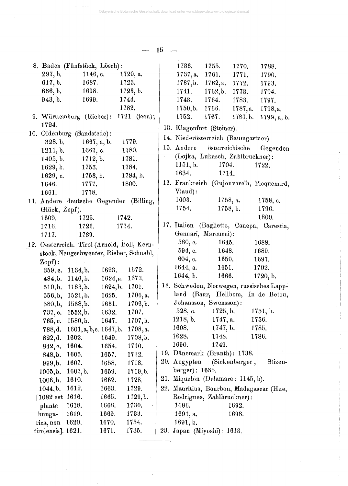$\mathcal{L}_{\mathcal{A}}$ 

©Bayerische Botanische Gesellschaft; download unter www.bbgev.de;www.biologiezentrum.at

 $\overline{\phantom{a}}$ 

j

|                    | 8. Baden (Fünfstück, Lösch):                |          |              | 1736.                               | 1755.                           | 1770.          | 1788.                                     |
|--------------------|---------------------------------------------|----------|--------------|-------------------------------------|---------------------------------|----------------|-------------------------------------------|
| 297, b.            | 1146, c.                                    |          | 1720, a.     | 1737, a.                            | 1761.                           | 1771.          | 1790.                                     |
| 617, b.            | 1687.                                       |          | 1723.        | 1737, b.                            | 1762,a.                         | 1772.          | 1793.                                     |
| 636, b.            | 1698.                                       |          | 1723, b.     | 1741.                               | 1762,b.                         | 1773.          | 1794.                                     |
| 943, b.            | 1699.                                       |          | 1744.        | 1743.                               | 1764.                           | 1783.          | 1797.                                     |
|                    |                                             |          | 1782.        | 1750, b.                            | 1766.                           | 1787, a.       | 1798,a.                                   |
|                    | 9. Württemberg (Rieber):                    |          | 1721 (icon); | 1752.                               | 1767.                           | 1787, b.       | 1799, a, b.                               |
| 1724.              |                                             |          |              | 13. Klagenfurt (Steiner).           |                                 |                |                                           |
|                    | 10. Oldenburg (Sandstede):                  |          |              | 14. Niederösterreich (Baumgartner). |                                 |                |                                           |
| 328, b.            | 1667, a, b.                                 |          | 1779.        |                                     |                                 |                |                                           |
| 1211, b.           | 1667, c.                                    |          | 1780.        | 15. Andere                          | österreichische                 |                | Gegenden                                  |
| 1405, b.           | 1712, b.                                    |          | 1781.        |                                     | (Lojka, Lukasch, Zahlbruckner): |                |                                           |
| 1629, b.           | 1753.                                       |          | 1784.        | 1151, b.                            | 1704.                           |                | 1722.                                     |
| 1629, c.           | 1753, b.                                    |          | 1784, b.     | 1634.                               | 1714.                           |                |                                           |
| 1646.              | 1777.                                       |          | 1800.        |                                     |                                 |                | 16. Frankreich (Gujonvarc'h, Picquenard,  |
| 1661.              | 1778.                                       |          |              | Viaud):                             |                                 |                |                                           |
|                    | 11. Andere deutsche Gegenden (Billing,      |          |              | 1603.                               | 1758, a.                        |                | 1758, c.                                  |
| Glück, Zopf).      |                                             |          |              | 1754.                               | 1758, b.                        |                | 1796.                                     |
| 1609.              | 1725.                                       | 1742.    |              |                                     |                                 |                | 1800.                                     |
| 1716.              | 1726.                                       | 1774.    |              |                                     |                                 |                | 17. Italien (Baglietto, Canepa, Carestia, |
| 1717.              | 1739.                                       |          |              |                                     | Gennari, Marcucci):             |                |                                           |
|                    | 12. Oesterreich. Tirol (Arnold, Boll, Kern- |          |              | 580, c.                             | 1645.                           |                | 1688.                                     |
|                    | stock, Neugschwenter, Rieber, Schnabl,      |          |              | 594, c.                             | 1648.                           |                | 1689.                                     |
| $\mathrm{Zopf})$ : |                                             |          |              | 604, c.                             | 1650.                           |                | 1697.                                     |
| 359, c.            | 1134,b.                                     | 1623.    | 1672.        | 1644, a.                            | 1651.                           |                | 1702.                                     |
| 484, b.            | 1146, b.                                    | 1624, a. | 1673.        | 1644, b.                            | 1666.                           |                | 1720, b.                                  |
| 510, b.            | 1183, b.                                    | 1624, b. | 1701.        |                                     |                                 |                | 18. Schweden, Norwegen, russisches Lapp-  |
| 556, b,            | 1521, b.                                    | 1625.    | 1706, a.     |                                     |                                 |                | land (Baur, Hellbom, In de Betou,         |
| 580, b,            | 1538, b.                                    | 1631.    | 1706,b.      | Johansson, Swensson):               |                                 |                |                                           |
| 737, c.            | 1552, b.                                    | 1632.    | 1707.        | 528, c.                             | 1725, b.                        |                | 1751, b.                                  |
| 765, c.            | 1580, b.                                    | 1647.    | 1707, b.     | 1218, b.                            | 1747, a.                        |                | 1756.                                     |
| 788, d.            | 1601, a, b, c. 1647, b.                     |          | 1708,a.      | 1608.                               | 1747, b.                        |                | 1785.                                     |
| 822,d.             | 1602.                                       | 1649.    | 1708, b.     | 1628.                               | 1748.                           |                | 1786.                                     |
| 842, c.            | 1604.                                       | 1654.    | 1710.        | 1690.                               | 1749.                           |                |                                           |
| 848, b. 1605.      |                                             | 1657.    | 1712.        | 19. Dänemark (Branth): 1738.        |                                 |                |                                           |
| 999, b.            | 1607.                                       | 1658.    | 1718.        | 20. Aegypten                        |                                 | (Sickenberger, | Stizen-                                   |
| 1005, b.           | 1607,b.                                     | 1659.    | 1719, b.     | berger): 1635.                      |                                 |                |                                           |
| 1006, b.           | 1610.                                       | 1662.    | 1728.        | 21. Miquelon (Delamare: 1145, b).   |                                 |                |                                           |
| 1044, b.           | 1612.                                       | 1663.    | 1729.        |                                     |                                 |                | 22. Mauritius, Bourbon, Madagascar (Hue,  |
| [1082est           | 1616.                                       | 1665.    | 1729, b.     | Rodriguez, Zahlbruckner):           |                                 |                |                                           |
| planta             | 1618.                                       | 1668.    | 1730.        | 1686.                               |                                 | 1692.          |                                           |
| hunga-             | 1619.                                       | 1669.    | 1733.        | 1691, a.                            |                                 | 1693.          |                                           |
| rica, non          | 1620.                                       | 1670.    | 1734.        | 1691, b.                            |                                 |                |                                           |
| tirolensis]. 1621. |                                             | 1671.    | 1735.        | 23. Japan (Miyoshi): 1613.          |                                 |                |                                           |
|                    |                                             |          |              |                                     |                                 |                |                                           |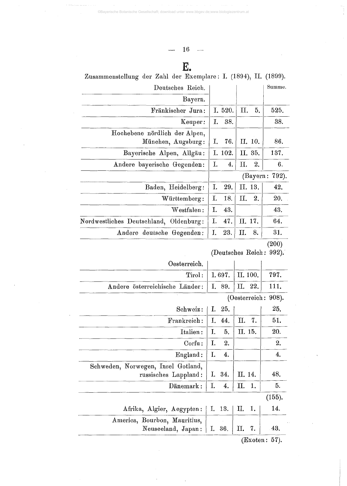| Deutsches Reich.                       |    |         |    |          | Summe. |
|----------------------------------------|----|---------|----|----------|--------|
| Bayern.                                |    |         |    |          |        |
| Fränkischer Jura:                      |    | I. 520. | П. | 5.       | 525.   |
| Keuper:                                | Ι. | 38.     |    |          | 38.    |
| Hochebene nördlich der Alpen,          |    |         |    |          |        |
| München, Augsburg:                     | I. | 76.     |    | II. 10.  | 86.    |
| Bayerische Alpen, Allgäu:              |    | I. 102. |    | II. 35.  | 137.   |
| Andere bayerische Gegenden:            | Ι. | 4.      | Π. | 2.       | 6.     |
|                                        |    |         |    | (Bayern: | 792).  |
| Baden, Heidelberg:                     | Ι. | 29.     |    | II. 13.  | 42.    |
| Württemberg:                           | I. | 18.     | П. | 2.       | 20.    |
| Westfalen :                            | I. | 43.     |    |          | 43.    |
| Nordwestliches Deutschland, Oldenburg: | Ι. | 47.     |    | II. 17.  | 64.    |
| Andere deutsche Gegenden:              | I. | 23.     | П. | 8.       | 31.    |
|                                        |    |         |    |          |        |

Zusammenstellung der Zahl der Exemplare: I. (1894), II. (1899).

(200)

(Deutsches Reich: 992).

| Oesterreich.                                               |           |                                                                                         |        |
|------------------------------------------------------------|-----------|-----------------------------------------------------------------------------------------|--------|
| Tirol:                                                     | I. 697.   | II. 100.                                                                                | 797.   |
| Andere österreichische Länder:                             | I. 89.    | П.<br>22.                                                                               | 111.   |
|                                                            |           | (Oesterreich:                                                                           | 908).  |
| Schweiz:                                                   | I. 25.    |                                                                                         | 25.    |
| Frankreich:                                                | Ι.<br>44. | Π.<br>-7.                                                                               | 51.    |
| Italien:                                                   | I.<br>5.  | II. 15.                                                                                 | 20.    |
| Corfu :                                                    | I.<br>2.  |                                                                                         | 2.     |
| England:                                                   | I.<br>4.  |                                                                                         | 4.     |
| Schweden, Norwegen, Insel Gotland,<br>russisches Lappland: | I. 34.    | II. 14.                                                                                 | 48.    |
| Dänemark :                                                 | Ι.<br>4.  | Π.<br>1.                                                                                | 5.     |
|                                                            |           |                                                                                         | (155). |
| Afrika, Algier, Aegypten:                                  | I. 13.    | II. 1.                                                                                  | 14.    |
| America, Bourbon, Mauritius,<br>Neuseeland, Japan:         | I. 36.    | П.<br>7.                                                                                | 43.    |
|                                                            |           | $\langle \nabla \mathbf{v}_{\alpha} \cdot \mathbf{v}_{\alpha} \cdot \mathbf{w} \rangle$ |        |

J,

(Exoten: 57).

©Bayerische Botanische Gesellschaft; download unter www.bbgev.de;www.biologiezentrum.at

### **E.**